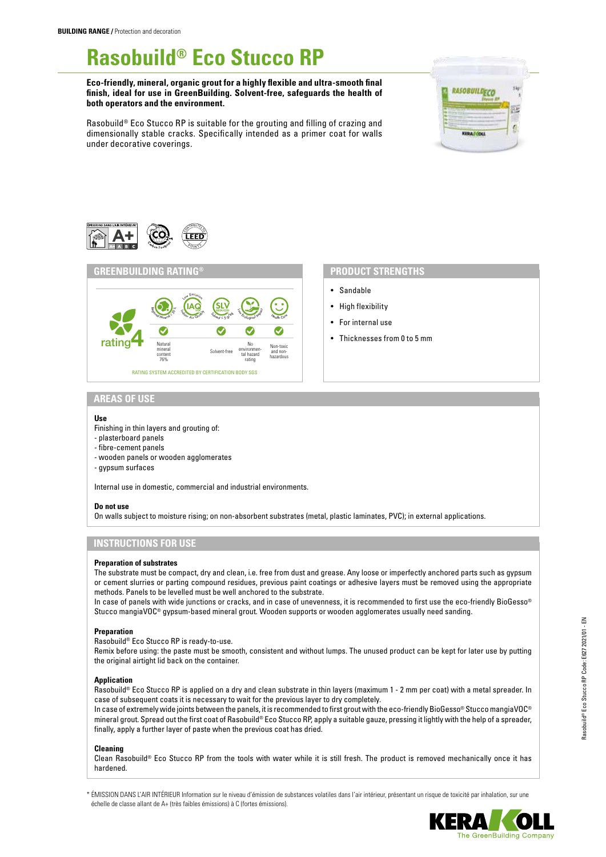# **Rasobuild® Eco Stucco RP**

**Eco-friendly, mineral, organic grout for a highly flexible and ultra-smooth final finish, ideal for use in GreenBuilding. Solvent-free, safeguards the health of both operators and the environment.**



Rasobuild® Eco Stucco RP is suitable for the grouting and filling of crazing and dimensionally stable cracks. Specifically intended as a primer coat for walls under decorative coverings.





- Sandable
- High flexibility
- For internal use
- Thicknesses from 0 to 5 mm

# **AREAS OF USE**

#### **Use**

- Finishing in thin layers and grouting of:
- plasterboard panels
- fibre-cement panels
- wooden panels or wooden agglomerates
- gypsum surfaces

Internal use in domestic, commercial and industrial environments.

### **Do not use**

On walls subject to moisture rising; on non-absorbent substrates (metal, plastic laminates, PVC); in external applications.

# **INSTRUCTIONS FOR USE**

#### **Preparation of substrates**

The substrate must be compact, dry and clean, i.e. free from dust and grease. Any loose or imperfectly anchored parts such as gypsum or cement slurries or parting compound residues, previous paint coatings or adhesive layers must be removed using the appropriate methods. Panels to be levelled must be well anchored to the substrate.

In case of panels with wide junctions or cracks, and in case of unevenness, it is recommended to first use the eco-friendly BioGesso® Stucco mangiaVOC® gypsum-based mineral grout. Wooden supports or wooden agglomerates usually need sanding.

### **Preparation**

Rasobuild® Eco Stucco RP is ready-to-use.

Remix before using: the paste must be smooth, consistent and without lumps. The unused product can be kept for later use by putting the original airtight lid back on the container.

#### **Application**

Rasobuild® Eco Stucco RP is applied on a dry and clean substrate in thin layers (maximum 1 - 2 mm per coat) with a metal spreader. In case of subsequent coats it is necessary to wait for the previous layer to dry completely.

In case of extremely wide joints between the panels, it is recommended to first grout with the eco-friendly BioGesso® Stucco mangiaVOC® mineral grout. Spread out the first coat of Rasobuild® Eco Stucco RP, apply a suitable gauze, pressing it lightly with the help of a spreader, finally, apply a further layer of paste when the previous coat has dried.

#### **Cleaning**

Clean Rasobuild® Eco Stucco RP from the tools with water while it is still fresh. The product is removed mechanically once it has hardened.

\* ÉMISSION DANS L'AIR INTÉRIEUR Information sur le niveau d'émission de substances volatiles dans l'air intérieur, présentant un risque de toxicité par inhalation, sur une échelle de classe allant de A+ (très faibles émissions) à C (fortes émissions).